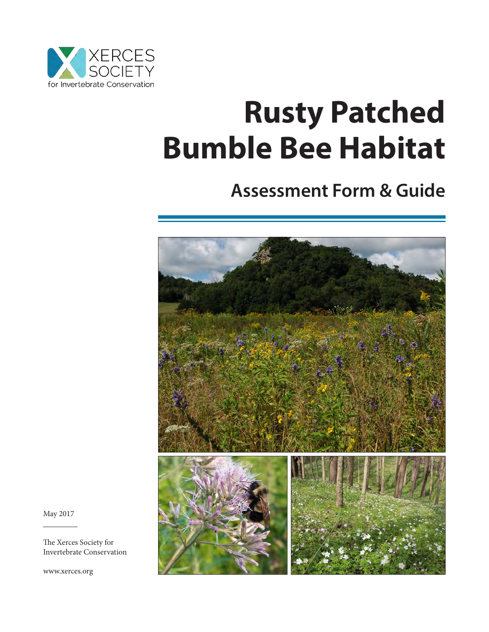

# **Rusty Patched Bumble Bee Habitat**

# **Assessment Form & Guide**



May 2017

 $\overline{a}$ 

The Xerces Society for Invertebrate Conservation

www.xerces.org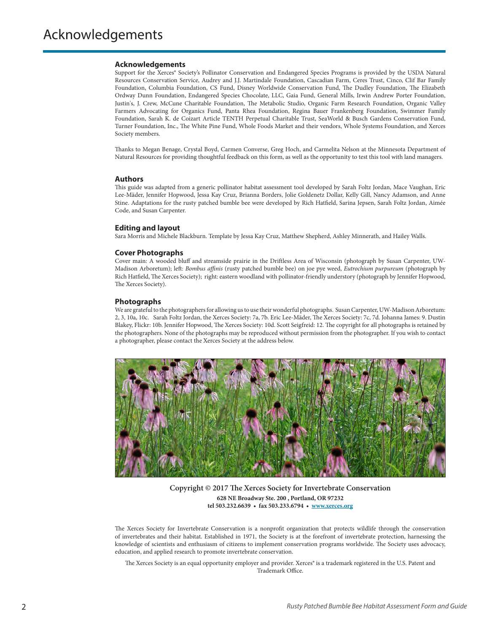#### **Acknowledgements**

Support for the Xerces® Society's Pollinator Conservation and Endangered Species Programs is provided by the USDA Natural Resources Conservation Service, Audrey and J.J. Martindale Foundation, Cascadian Farm, Ceres Trust, Cinco, Clif Bar Family Foundation, Columbia Foundation, CS Fund, Disney Worldwide Conservation Fund, The Dudley Foundation, The Elizabeth Ordway Dunn Foundation, Endangered Species Chocolate, LLC, Gaia Fund, General Mills, Irwin Andrew Porter Foundation, Justin's, J. Crew, McCune Charitable Foundation, The Metabolic Studio, Organic Farm Research Foundation, Organic Valley Farmers Advocating for Organics Fund, Panta Rhea Foundation, Regina Bauer Frankenberg Foundation, Swimmer Family Foundation, Sarah K. de Coizart Article TENTH Perpetual Charitable Trust, SeaWorld & Busch Gardens Conservation Fund, Turner Foundation, Inc., The White Pine Fund, Whole Foods Market and their vendors, Whole Systems Foundation, and Xerces Society members.

Thanks to Megan Benage, Crystal Boyd, Carmen Converse, Greg Hoch, and Carmelita Nelson at the Minnesota Department of Natural Resources for providing thoughtful feedback on this form, as well as the opportunity to test this tool with land managers.

#### **Authors**

This guide was adapted from a generic pollinator habitat assessment tool developed by Sarah Foltz Jordan, Mace Vaughan, Eric Lee-Mäder, Jennifer Hopwood, Jessa Kay Cruz, Brianna Borders, Jolie Goldenetz Dollar, Kelly Gill, Nancy Adamson, and Anne Stine. Adaptations for the rusty patched bumble bee were developed by Rich Hatfield, Sarina Jepsen, Sarah Foltz Jordan, Aimée Code, and Susan Carpenter.

#### **Editing and layout**

Sara Morris and Michele Blackburn. Template by Jessa Kay Cruz, Matthew Shepherd, Ashley Minnerath, and Hailey Walls.

#### **Cover Photographs**

Cover main: A wooded bluff and streamside prairie in the Driftless Area of Wisconsin (photograph by Susan Carpenter, UW-Madison Arboretum); left: *Bombus affinis* (rusty patched bumble bee) on joe pye weed, *Eutrochium purpureum* (photograph by Rich Hatfield, The Xerces Society); right: eastern woodland with pollinator-friendly understory (photograph by Jennifer Hopwood, The Xerces Society).

#### **Photographs**

We are grateful to the photographers for allowing us to use their wonderful photographs. Susan Carpenter, UW-Madison Arboretum: 2, 3, 10a, 10c. Sarah Foltz Jordan, the Xerces Society: 7a, 7b. Eric Lee-Mäder, The Xerces Society: 7c, 7d. Johanna James: 9. Dustin Blakey, Flickr: 10b. Jennifer Hopwood, The Xerces Society: 10d. Scott Seigfreid: 12. The copyright for all photographs is retained by the photographers. None of the photographs may be reproduced without permission from the photographer. If you wish to contact a photographer, please contact the Xerces Society at the address below.



**628 NE Broadway Ste. 200 , Portland, OR 97232 tel 503.232.6639 • fax 503.233.6794 • www.xerces.org Copyright © 2017 The Xerces Society for Invertebrate Conservation**

The Xerces Society for Invertebrate Conservation is a nonprofit organization that protects wildlife through the conservation of invertebrates and their habitat. Established in 1971, the Society is at the forefront of invertebrate protection, harnessing the knowledge of scientists and enthusiasm of citizens to implement conservation programs worldwide. The Society uses advocacy, education, and applied research to promote invertebrate conservation.

The Xerces Society is an equal opportunity employer and provider. Xerces® is a trademark registered in the U.S. Patent and Trademark Office.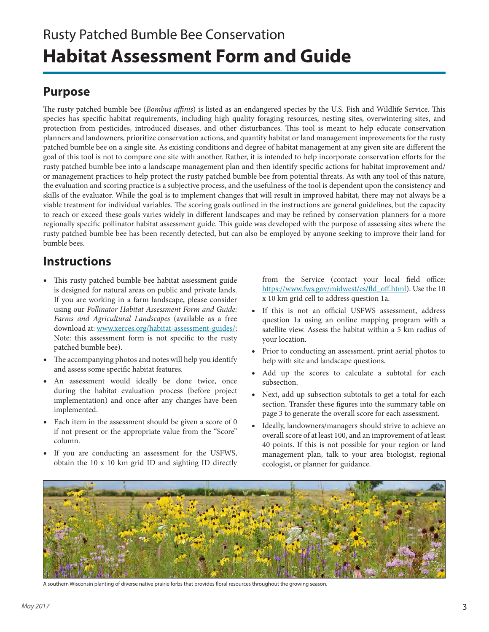## Rusty Patched Bumble Bee Conservation **Habitat Assessment Form and Guide**

### **Purpose**

The rusty patched bumble bee (*Bombus affinis*) is listed as an endangered species by the U.S. Fish and Wildlife Service. This species has specific habitat requirements, including high quality foraging resources, nesting sites, overwintering sites, and protection from pesticides, introduced diseases, and other disturbances. This tool is meant to help educate conservation planners and landowners, prioritize conservation actions, and quantify habitat or land management improvements for the rusty patched bumble bee on a single site. As existing conditions and degree of habitat management at any given site are different the goal of this tool is not to compare one site with another. Rather, it is intended to help incorporate conservation efforts for the rusty patched bumble bee into a landscape management plan and then identify specific actions for habitat improvement and/ or management practices to help protect the rusty patched bumble bee from potential threats. As with any tool of this nature, the evaluation and scoring practice is a subjective process, and the usefulness of the tool is dependent upon the consistency and skills of the evaluator. While the goal is to implement changes that will result in improved habitat, there may not always be a viable treatment for individual variables. The scoring goals outlined in the instructions are general guidelines, but the capacity to reach or exceed these goals varies widely in different landscapes and may be refined by conservation planners for a more regionally specific pollinator habitat assessment guide. This guide was developed with the purpose of assessing sites where the rusty patched bumble bee has been recently detected, but can also be employed by anyone seeking to improve their land for bumble bees.

### **Instructions**

- This rusty patched bumble bee habitat assessment guide is designed for natural areas on public and private lands. If you are working in a farm landscape, please consider using our *Pollinator Habitat Assessment Form and Guide: Farms and Agricultural Landscapes* (available as a free download at: www.xerces.org/habitat-assessment-guides/; Note: this assessment form is not specific to the rusty patched bumble bee).
- The accompanying photos and notes will help you identify and assess some specific habitat features.
- An assessment would ideally be done twice, once during the habitat evaluation process (before project implementation) and once after any changes have been implemented.
- Each item in the assessment should be given a score of 0 if not present or the appropriate value from the "Score" column.
- If you are conducting an assessment for the USFWS, obtain the 10 x 10 km grid ID and sighting ID directly

from the Service (contact your local field office: https://www.fws.gov/midwest/es/fld\_off.html). Use the 10 x 10 km grid cell to address question 1a.

- If this is not an official USFWS assessment, address question 1a using an online mapping program with a satellite view. Assess the habitat within a 5 km radius of your location.
- Prior to conducting an assessment, print aerial photos to help with site and landscape questions.
- Add up the scores to calculate a subtotal for each subsection.
- Next, add up subsection subtotals to get a total for each section. Transfer these figures into the summary table on page 3 to generate the overall score for each assessment.
- Ideally, landowners/managers should strive to achieve an overall score of at least 100, and an improvement of at least 40 points. If this is not possible for your region or land management plan, talk to your area biologist, regional ecologist, or planner for guidance.



A southern Wisconsin planting of diverse native prairie forbs that provides floral resources throughout the growing season.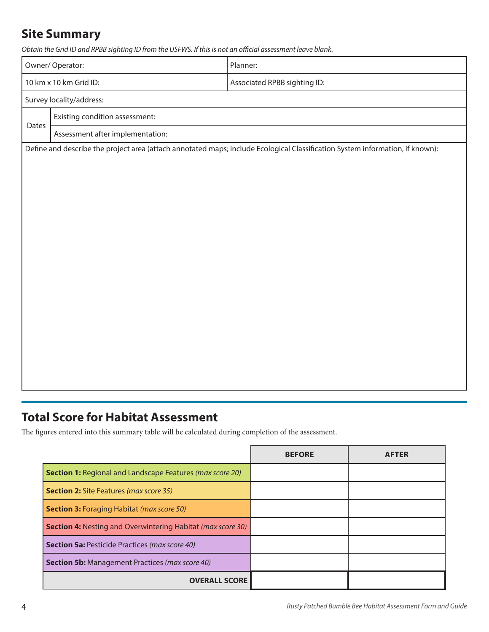### **Site Summary**

*Obtain the Grid ID and RPBB sighting ID from the USFWS. If this is not an official assessment leave blank.*

|                                | Owner/Operator:                                                                                                               | Planner:                     |  |  |  |  |  |  |
|--------------------------------|-------------------------------------------------------------------------------------------------------------------------------|------------------------------|--|--|--|--|--|--|
|                                | 10 km x 10 km Grid ID:                                                                                                        | Associated RPBB sighting ID: |  |  |  |  |  |  |
| Survey locality/address:       |                                                                                                                               |                              |  |  |  |  |  |  |
| Existing condition assessment: |                                                                                                                               |                              |  |  |  |  |  |  |
| Dates                          | Assessment after implementation:                                                                                              |                              |  |  |  |  |  |  |
|                                | Define and describe the project area (attach annotated maps; include Ecological Classification System information, if known): |                              |  |  |  |  |  |  |
|                                |                                                                                                                               |                              |  |  |  |  |  |  |
|                                |                                                                                                                               |                              |  |  |  |  |  |  |
|                                |                                                                                                                               |                              |  |  |  |  |  |  |
|                                |                                                                                                                               |                              |  |  |  |  |  |  |
|                                |                                                                                                                               |                              |  |  |  |  |  |  |
|                                |                                                                                                                               |                              |  |  |  |  |  |  |
|                                |                                                                                                                               |                              |  |  |  |  |  |  |
|                                |                                                                                                                               |                              |  |  |  |  |  |  |
|                                |                                                                                                                               |                              |  |  |  |  |  |  |
|                                |                                                                                                                               |                              |  |  |  |  |  |  |
|                                |                                                                                                                               |                              |  |  |  |  |  |  |
|                                |                                                                                                                               |                              |  |  |  |  |  |  |
|                                |                                                                                                                               |                              |  |  |  |  |  |  |
|                                |                                                                                                                               |                              |  |  |  |  |  |  |
|                                |                                                                                                                               |                              |  |  |  |  |  |  |

### **Total Score for Habitat Assessment**

The figures entered into this summary table will be calculated during completion of the assessment.

|                                                                    | <b>BEFORE</b> | <b>AFTER</b> |
|--------------------------------------------------------------------|---------------|--------------|
| <b>Section 1:</b> Regional and Landscape Features (max score 20)   |               |              |
| <b>Section 2:</b> Site Features (max score 35)                     |               |              |
| <b>Section 3: Foraging Habitat (max score 50)</b>                  |               |              |
| <b>Section 4: Nesting and Overwintering Habitat (max score 30)</b> |               |              |
| <b>Section 5a:</b> Pesticide Practices (max score 40)              |               |              |
| <b>Section 5b:</b> Management Practices (max score 40)             |               |              |
| <b>OVERALL SCORE</b>                                               |               |              |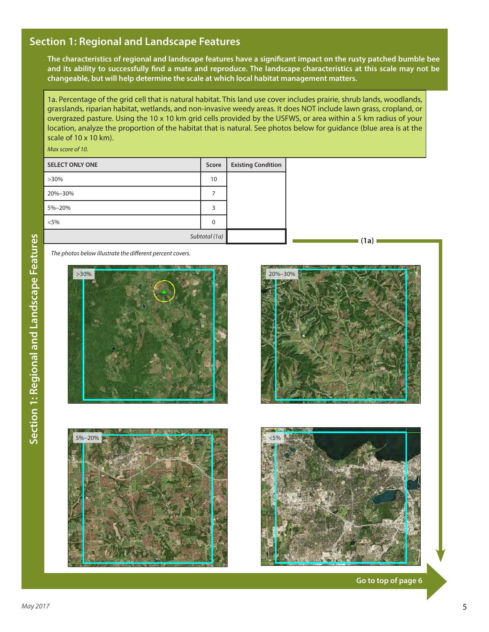### **Section 1: Regional and Landscape Features**

**The characteristics of regional and landscape features have a significant impact on the rusty patched bumble bee and its ability to successfully find a mate and reproduce. The landscape characteristics at this scale may not be changeable, but will help determine the scale at which local habitat management matters.**

1a. Percentage of the grid cell that is natural habitat. This land use cover includes prairie, shrub lands, woodlands, grasslands, riparian habitat, wetlands, and non-invasive weedy areas. It does NOT include lawn grass, cropland, or overgrazed pasture. Using the 10 x 10 km grid cells provided by the USFWS, or area within a 5 km radius of your location, analyze the proportion of the habitat that is natural. See photos below for guidance (blue area is at the scale of 10 x 10 km).

*Max score of 10.* 

| <b>SELECT ONLY ONE</b> | Score | <b>Existing Condition</b> |
|------------------------|-------|---------------------------|
| $>30\%$                | 10    |                           |
| 20%-30%                |       |                           |
| 5%-20%                 | 3     |                           |
| $< 5\%$                | 0     |                           |
| Subtotal (1a)          |       |                           |

*The photos below illustrate the different percent covers.*





**(1a)**





**Go to top of page 6**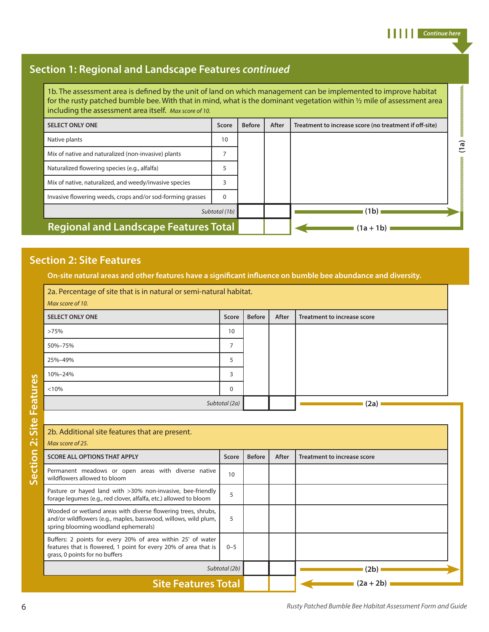### **Section 1: Regional and Landscape Features** *continued*

1b. The assessment area is defined by the unit of land on which management can be implemented to improve habitat for the rusty patched bumble bee. With that in mind, what is the dominant vegetation within ½ mile of assessment area including the assessment area itself. *Max score of 10.*

| <b>SELECT ONLY ONE</b>                                     | Score    | <b>Before</b> | After | Treatment to increase score (no treatment if off-site) |
|------------------------------------------------------------|----------|---------------|-------|--------------------------------------------------------|
| Native plants                                              | 10       |               |       |                                                        |
| Mix of native and naturalized (non-invasive) plants        |          |               |       |                                                        |
| Naturalized flowering species (e.g., alfalfa)              |          |               |       |                                                        |
| Mix of native, naturalized, and weedy/invasive species     |          |               |       |                                                        |
| Invasive flowering weeds, crops and/or sod-forming grasses | $\Omega$ |               |       |                                                        |
| Subtotal (1b)                                              |          |               |       | (1b)                                                   |
| <b>Regional and Landscape Features Total</b>               |          |               |       | $(1a + 1b)$                                            |

### **Section 2: Site Features**

**On-site natural areas and other features have a significant influence on bumble bee abundance and diversity.**

| 2a. Percentage of site that is in natural or semi-natural habitat.<br>Max score of 10. |       |               |       |                             |  |  |
|----------------------------------------------------------------------------------------|-------|---------------|-------|-----------------------------|--|--|
| <b>SELECT ONLY ONE</b>                                                                 | Score | <b>Before</b> | After | Treatment to increase score |  |  |
| >75%                                                                                   | 10    |               |       |                             |  |  |
| 50%-75%                                                                                | ⇁     |               |       |                             |  |  |
| 25%-49%                                                                                | 5     |               |       |                             |  |  |
| 10%-24%                                                                                | 3     |               |       |                             |  |  |
| < 10%                                                                                  | 0     |               |       |                             |  |  |
| Subtotal (2a)                                                                          |       |               | (2a)  |                             |  |  |

| 2b. Additional site features that are present.                                                                                                                           |         |               |             |                             |  |  |
|--------------------------------------------------------------------------------------------------------------------------------------------------------------------------|---------|---------------|-------------|-----------------------------|--|--|
| Max score of 25.                                                                                                                                                         |         |               |             |                             |  |  |
| <b>SCORE ALL OPTIONS THAT APPLY</b>                                                                                                                                      | Score   | <b>Before</b> | After       | Treatment to increase score |  |  |
| Permanent meadows or open areas with diverse native<br>wildflowers allowed to bloom                                                                                      | 10      |               |             |                             |  |  |
| Pasture or hayed land with >30% non-invasive, bee-friendly<br>forage legumes (e.g., red clover, alfalfa, etc.) allowed to bloom                                          | 5       |               |             |                             |  |  |
| Wooded or wetland areas with diverse flowering trees, shrubs,<br>and/or wildflowers (e.g., maples, basswood, willows, wild plum,<br>spring blooming woodland ephemerals) | 5       |               |             |                             |  |  |
| Buffers: 2 points for every 20% of area within 25' of water<br>features that is flowered, 1 point for every 20% of area that is<br>grass, 0 points for no buffers        | $0 - 5$ |               |             |                             |  |  |
| Subtotal (2b)                                                                                                                                                            |         |               |             | (2b)                        |  |  |
| <b>Site Features Total</b>                                                                                                                                               |         |               | $(2a + 2b)$ |                             |  |  |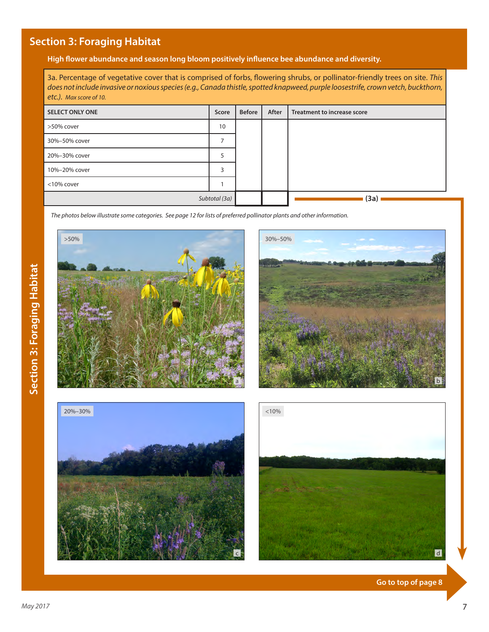### **Section 3: Foraging Habitat**

**High flower abundance and season long bloom positively influence bee abundance and diversity.**

3a. Percentage of vegetative cover that is comprised of forbs, flowering shrubs, or pollinator-friendly trees on site. *This does not include invasive or noxious species (e.g., Canada thistle, spotted knapweed, purple loosestrife, crown vetch, buckthorn, etc.). Max score of 10.*

| <b>SELECT ONLY ONE</b> | Score         | <b>Before</b> | After | Treatment to increase score |
|------------------------|---------------|---------------|-------|-----------------------------|
| >50% cover             | 10            |               |       |                             |
| 30%-50% cover          |               |               |       |                             |
| 20%-30% cover          |               |               |       |                             |
| 10%-20% cover          |               |               |       |                             |
| <10% cover             |               |               |       |                             |
|                        | Subtotal (3a) |               |       | (3a)                        |

*The photos below illustrate some categories. See page 12 for lists of preferred pollinator plants and other information.*







d

**Go to top of page 8**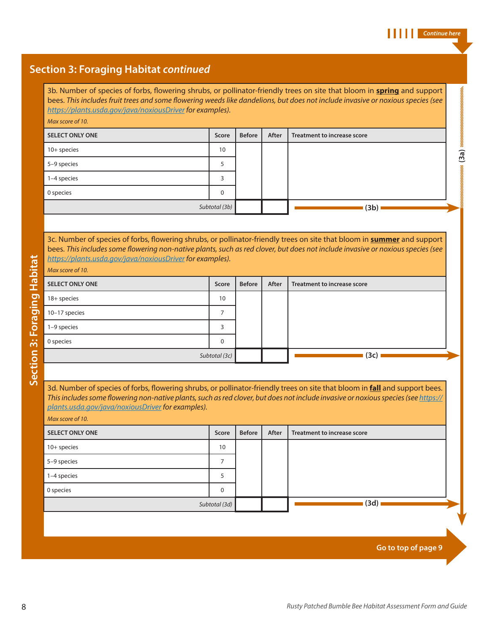### **Section 3: Foraging Habitat** *continued*

3b. Number of species of forbs, flowering shrubs, or pollinator-friendly trees on site that bloom in **spring** and support bees. *This includes fruit trees and some flowering weeds like dandelions, but does not include invasive or noxious species (see https://plants.usda.gov/java/noxiousDriver for examples).*

#### *Max score of 10.*

| <b>SELECT ONLY ONE</b> | Score         | <b>Before</b> | After | Treatment to increase score |      |
|------------------------|---------------|---------------|-------|-----------------------------|------|
| $10+$ species          | 10            |               |       |                             |      |
| 5-9 species            |               |               |       |                             | (3a) |
| 1-4 species            |               |               |       |                             | 1    |
| 0 species              |               |               |       |                             |      |
|                        | Subtotal (3b) |               |       | (3b)                        |      |

3c. Number of species of forbs, flowering shrubs, or pollinator-friendly trees on site that bloom in **summer** and support bees. *This includes some flowering non-native plants, such as red clover, but does not include invasive or noxious species (see https://plants.usda.gov/java/noxiousDriver for examples).*

### *Max score of 10.* **SELECT ONLY ONE SELECT ONLY ONE BEFORE BEFORE BEFORE BEFORE BEFORE After Treatment to increase score** 18+ species 10 10–17 species 2012 10 and 2012 10 and 2012 10:30 10:30 10:30 10:30 10:30 10:30 10:30 10:30 10:30 10:30 10:30 10:30 10:30 10:30 10:30 10:30 10:30 10:30 10:30 10:30 10:30 10:30 10:30 10:30 10:30 10:30 10:30 10:30 10:30 10:30 1–9 species 3 0 species and 0 species and 0 species and 0 species and 0 species and 0 species and 0 species and 0 species  $\sim$ *Subtotal (3c)*  **(3c)**

3d. Number of species of forbs, flowering shrubs, or pollinator-friendly trees on site that bloom in **fall** and support bees. *This includes some flowering non-native plants, such as red clover, but does not include invasive or noxious species (see https:// plants.usda.gov/java/noxiousDriver for examples).*

*Max score of 10.*

| <b>SELECT ONLY ONE</b> | Score           | <b>Before</b> | After | Treatment to increase score |  |
|------------------------|-----------------|---------------|-------|-----------------------------|--|
| 10+ species            | 10              |               |       |                             |  |
| 5-9 species            |                 |               |       |                             |  |
| 1-4 species            |                 |               |       |                             |  |
| 0 species              | 0               |               |       |                             |  |
|                        | Subtotal $(3d)$ |               |       | (3d)                        |  |

**Go to top of page 9**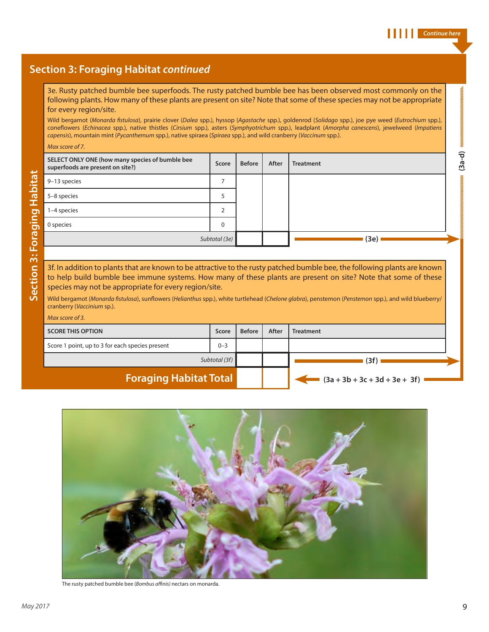### **Section 3: Foraging Habitat** *continued*

3e. Rusty patched bumble bee superfoods. The rusty patched bumble bee has been observed most commonly on the following plants. How many of these plants are present on site? Note that some of these species may not be appropriate for every region/site.

Wild bergamot (*Monarda fistulosa*), prairie clover (*Dalea* spp.), hyssop (*Agastache* spp.), goldenrod (*Solidago* spp.), joe pye weed (*Eutrochium* spp.), coneflowers (*Echinacea* spp.), native thistles (*Cirsium* spp.), asters (*Symphyotrichum* spp.), leadplant (*Amorpha canescens*), jewelweed (*Impatiens capensis*), mountain mint (*Pycanthemum* spp.), native spiraea (*Spiraea* spp.), and wild cranberry (*Vaccinum* spp.).

*Max score of 7.*

| SELECT ONLY ONE (how many species of bumble bee<br>superfoods are present on site?) | Score         | <b>Before</b> | After | <b>Treatment</b> | —<br>$\mathfrak{g}$ |  |  |
|-------------------------------------------------------------------------------------|---------------|---------------|-------|------------------|---------------------|--|--|
| 9-13 species                                                                        |               |               |       |                  |                     |  |  |
| 5-8 species                                                                         |               |               |       |                  |                     |  |  |
| 1-4 species                                                                         |               |               |       |                  |                     |  |  |
| 0 species                                                                           | $\Omega$      |               |       |                  |                     |  |  |
|                                                                                     | Subtotal (3e) |               |       | (3e)             |                     |  |  |
|                                                                                     |               |               |       |                  |                     |  |  |

3f. In addition to plants that are known to be attractive to the rusty patched bumble bee, the following plants are known to help build bumble bee immune systems. How many of these plants are present on site? Note that some of these species may not be appropriate for every region/site.

Wild bergamot (*Monarda fistulosa*), sunflowers (*Helianthus* spp.), white turtlehead (*Chelone glabra*), penstemon (*Penstemon* spp.), and wild blueberry/ cranberry (*Vaccinium* sp.).

#### *Max score of 3.*

| <b>SCORE THIS OPTION</b>                        | Score   | <b>Before</b> | After | <b>Treatment</b>                |  |
|-------------------------------------------------|---------|---------------|-------|---------------------------------|--|
| Score 1 point, up to 3 for each species present | $0 - 3$ |               |       |                                 |  |
| Subtotal (3f)                                   |         |               |       | (3f)                            |  |
| <b>Foraging Habitat Total</b>                   |         |               |       | $(3a + 3b + 3c + 3d + 3e + 3f)$ |  |



The rusty patched bumble bee (*Bombus affinis)* nectars on monarda.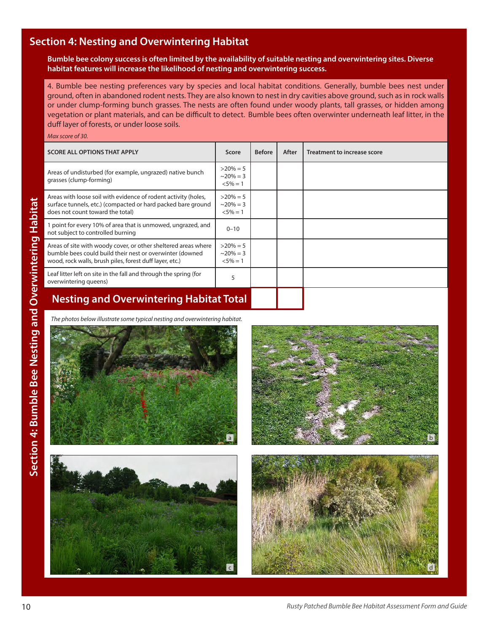### **Section 4: Nesting and Overwintering Habitat**

**Bumble bee colony success is often limited by the availability of suitable nesting and overwintering sites. Diverse habitat features will increase the likelihood of nesting and overwintering success.**

4. Bumble bee nesting preferences vary by species and local habitat conditions. Generally, bumble bees nest under ground, often in abandoned rodent nests. They are also known to nest in dry cavities above ground, such as in rock walls or under clump-forming bunch grasses. The nests are often found under woody plants, tall grasses, or hidden among vegetation or plant materials, and can be difficult to detect.Bumble bees often overwinter underneath leaf litter, in the duff layer of forests, or under loose soils.

*Max score of 30.*

| <b>SCORE ALL OPTIONS THAT APPLY</b>                                                                                                                                                   | Score                                           | <b>Before</b> | After | Treatment to increase score |  |  |  |
|---------------------------------------------------------------------------------------------------------------------------------------------------------------------------------------|-------------------------------------------------|---------------|-------|-----------------------------|--|--|--|
| Areas of undisturbed (for example, ungrazed) native bunch<br>grasses (clump-forming)                                                                                                  | $>20\% = 5$<br>$\approx$ 20% = 3<br>$< 5\% = 1$ |               |       |                             |  |  |  |
| Areas with loose soil with evidence of rodent activity (holes,<br>surface tunnels, etc.) (compacted or hard packed bare ground<br>does not count toward the total)                    | $>20\% = 5$<br>$\approx$ 20% = 3<br>$< 5\% = 1$ |               |       |                             |  |  |  |
| point for every 10% of area that is unmowed, ungrazed, and<br>not subject to controlled burning                                                                                       | $0 - 10$                                        |               |       |                             |  |  |  |
| Areas of site with woody cover, or other sheltered areas where<br>bumble bees could build their nest or overwinter (downed<br>wood, rock walls, brush piles, forest duff layer, etc.) | $>20\% = 5$<br>$\approx$ 20% = 3<br>$< 5\% = 1$ |               |       |                             |  |  |  |
| Leaf litter left on site in the fall and through the spring (for<br>overwintering queens)                                                                                             | 5                                               |               |       |                             |  |  |  |
| <b>Nesting and Overwintering Habitat Total</b>                                                                                                                                        |                                                 |               |       |                             |  |  |  |

*The photos below illustrate some typical nesting and overwintering habitat.*







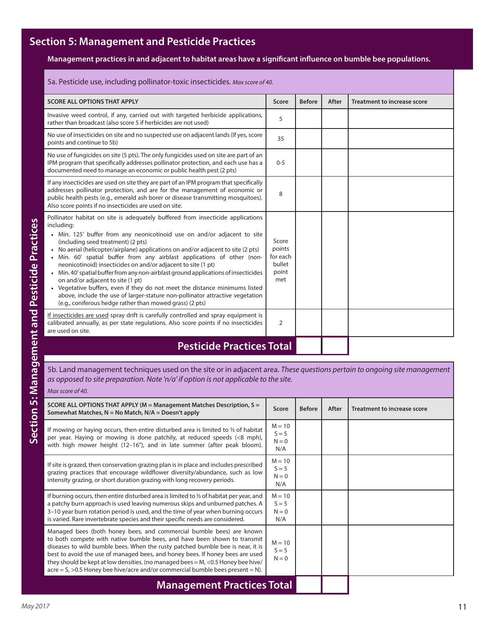### **Section 5: Management and Pesticide Practices**

**Management practices in and adjacent to habitat areas have a significant influence on bumble bee populations.**

| 5a. Pesticide use, including pollinator-toxic insecticides. Max score of 40.                                                                                                                                                                                                                                                                                                                                                                                                                                                                                                                                                                                                                                                                                                                       |                                                       |               |       |                                    |  |  |
|----------------------------------------------------------------------------------------------------------------------------------------------------------------------------------------------------------------------------------------------------------------------------------------------------------------------------------------------------------------------------------------------------------------------------------------------------------------------------------------------------------------------------------------------------------------------------------------------------------------------------------------------------------------------------------------------------------------------------------------------------------------------------------------------------|-------------------------------------------------------|---------------|-------|------------------------------------|--|--|
| <b>SCORE ALL OPTIONS THAT APPLY</b>                                                                                                                                                                                                                                                                                                                                                                                                                                                                                                                                                                                                                                                                                                                                                                | Score                                                 | <b>Before</b> | After | <b>Treatment to increase score</b> |  |  |
| Invasive weed control, if any, carried out with targeted herbicide applications,<br>rather than broadcast (also score 5 if herbicides are not used)                                                                                                                                                                                                                                                                                                                                                                                                                                                                                                                                                                                                                                                | 5                                                     |               |       |                                    |  |  |
| No use of insecticides on site and no suspected use on adjacent lands (If yes, score<br>points and continue to 5b)                                                                                                                                                                                                                                                                                                                                                                                                                                                                                                                                                                                                                                                                                 | 35                                                    |               |       |                                    |  |  |
| No use of fungicides on site (5 pts). The only fungicides used on site are part of an<br>IPM program that specifically addresses pollinator protection, and each use has a<br>documented need to manage an economic or public health pest (2 pts)                                                                                                                                                                                                                                                                                                                                                                                                                                                                                                                                                  | $0 - 5$                                               |               |       |                                    |  |  |
| If any insecticides are used on site they are part of an IPM program that specifically<br>addresses pollinator protection, and are for the management of economic or<br>public health pests (e.g., emerald ash borer or disease transmitting mosquitoes).<br>Also score points if no insecticides are used on site.                                                                                                                                                                                                                                                                                                                                                                                                                                                                                | 8                                                     |               |       |                                    |  |  |
| Pollinator habitat on site is adequately buffered from insecticide applications<br>including:<br>• Min. 125' buffer from any neonicotinoid use on and/or adjacent to site<br>(including seed treatment) (2 pts)<br>No aerial (helicopter/airplane) applications on and/or adjacent to site (2 pts)<br>Min. 60' spatial buffer from any airblast applications of other (non-<br>neonicotinoid) insecticides on and/or adjacent to site (1 pt)<br>Min. 40' spatial buffer from any non-airblast ground applications of insecticides<br>on and/or adjacent to site (1 pt)<br>• Vegetative buffers, even if they do not meet the distance minimums listed<br>above, include the use of larger-stature non-pollinator attractive vegetation<br>(e.g., coniferous hedge rather than mowed grass) (2 pts) | Score<br>points<br>for each<br>bullet<br>point<br>met |               |       |                                    |  |  |
| If insecticides are used spray drift is carefully controlled and spray equipment is<br>calibrated annually, as per state regulations. Also score points if no insecticides<br>are used on site.                                                                                                                                                                                                                                                                                                                                                                                                                                                                                                                                                                                                    | $\overline{2}$                                        |               |       |                                    |  |  |
| <b>Pesticide Practices Total</b>                                                                                                                                                                                                                                                                                                                                                                                                                                                                                                                                                                                                                                                                                                                                                                   |                                                       |               |       |                                    |  |  |

### 5b. Land management techniques used on the site or in adjacent area. *These questions pertain to ongoing site management as opposed to site preparation. Note 'n/a' if option is not applicable to the site.*

*Max score of 40.* 

| SCORE ALL OPTIONS THAT APPLY ( $M =$ Management Matches Description, $S =$<br>Somewhat Matches, $N = No$ Match, $N/A = Doesn't$ apply                                                                                                                                                                                                                                                                                                                                                                 | Score                                 | <b>Before</b> | After | Treatment to increase score |
|-------------------------------------------------------------------------------------------------------------------------------------------------------------------------------------------------------------------------------------------------------------------------------------------------------------------------------------------------------------------------------------------------------------------------------------------------------------------------------------------------------|---------------------------------------|---------------|-------|-----------------------------|
| If mowing or haying occurs, then entire disturbed area is limited to 1/3 of habitat<br>per year. Haying or mowing is done patchily, at reduced speeds (<8 mph),<br>with high mower height (12–16"), and in late summer (after peak bloom).                                                                                                                                                                                                                                                            | $M = 10$<br>$S = 5$<br>$N = 0$<br>N/A |               |       |                             |
| If site is grazed, then conservation grazing plan is in place and includes prescribed<br>grazing practices that encourage wildflower diversity/abundance, such as low<br>intensity grazing, or short duration grazing with long recovery periods.                                                                                                                                                                                                                                                     | $M = 10$<br>$S = 5$<br>$N = 0$<br>N/A |               |       |                             |
| If burning occurs, then entire disturbed area is limited to 1/3 of habitat per year, and<br>a patchy burn approach is used leaving numerous skips and unburned patches. A<br>3-10 year burn rotation period is used, and the time of year when burning occurs<br>is varied. Rare invertebrate species and their specific needs are considered.                                                                                                                                                        | $M = 10$<br>$S = 5$<br>$N = 0$<br>N/A |               |       |                             |
| Managed bees (both honey bees, and commercial bumble bees) are known<br>to both compete with native bumble bees, and have been shown to transmit<br>diseases to wild bumble bees. When the rusty patched bumble bee is near, it is<br>best to avoid the use of managed bees, and honey bees. If honey bees are used<br>they should be kept at low densities. (no managed bees $=M$ , <0.5 Honey bee hive/<br>$\text{acre} = S$ , >0.5 Honey bee hive/acre and/or commercial bumble bees present = N). | $M = 10$<br>$S = 5$<br>$N = 0$        |               |       |                             |
| <b>Management Practices Total</b>                                                                                                                                                                                                                                                                                                                                                                                                                                                                     |                                       |               |       |                             |